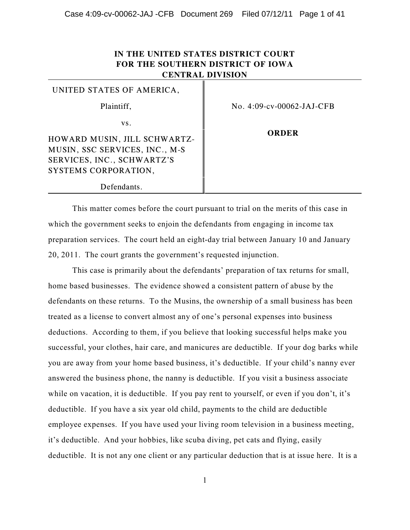# **IN THE UNITED STATES DISTRICT COURT FOR THE SOUTHERN DISTRICT OF IOWA CENTRAL DIVISION**

| UNITED STATES OF AMERICA,      |                              |
|--------------------------------|------------------------------|
| Plaintiff,                     | No. $4:09$ -cv-00062-JAJ-CFB |
| VS.                            |                              |
| HOWARD MUSIN, JILL SCHWARTZ-   | ORDER                        |
| MUSIN, SSC SERVICES, INC., M-S |                              |
| SERVICES, INC., SCHWARTZ'S     |                              |
| SYSTEMS CORPORATION,           |                              |
| Defendants.                    |                              |

This matter comes before the court pursuant to trial on the merits of this case in which the government seeks to enjoin the defendants from engaging in income tax preparation services. The court held an eight-day trial between January 10 and January 20, 2011. The court grants the government's requested injunction.

This case is primarily about the defendants' preparation of tax returns for small, home based businesses. The evidence showed a consistent pattern of abuse by the defendants on these returns. To the Musins, the ownership of a small business has been treated as a license to convert almost any of one's personal expenses into business deductions. According to them, if you believe that looking successful helps make you successful, your clothes, hair care, and manicures are deductible. If your dog barks while you are away from your home based business, it's deductible. If your child's nanny ever answered the business phone, the nanny is deductible. If you visit a business associate while on vacation, it is deductible. If you pay rent to yourself, or even if you don't, it's deductible. If you have a six year old child, payments to the child are deductible employee expenses. If you have used your living room television in a business meeting, it's deductible. And your hobbies, like scuba diving, pet cats and flying, easily deductible. It is not any one client or any particular deduction that is at issue here. It is a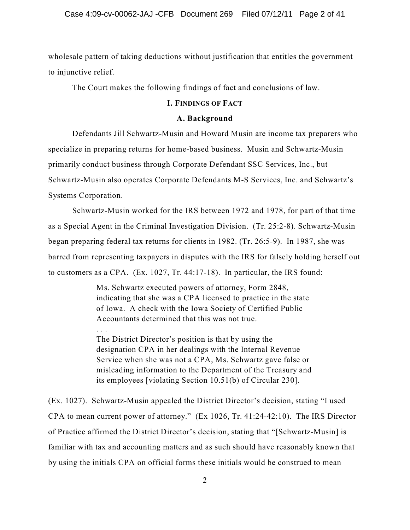wholesale pattern of taking deductions without justification that entitles the government to injunctive relief.

The Court makes the following findings of fact and conclusions of law.

# **I. FINDINGS OF FACT**

### **A. Background**

Defendants Jill Schwartz-Musin and Howard Musin are income tax preparers who specialize in preparing returns for home-based business. Musin and Schwartz-Musin primarily conduct business through Corporate Defendant SSC Services, Inc., but Schwartz-Musin also operates Corporate Defendants M-S Services, Inc. and Schwartz's Systems Corporation.

Schwartz-Musin worked for the IRS between 1972 and 1978, for part of that time as a Special Agent in the Criminal Investigation Division. (Tr. 25:2-8). Schwartz-Musin began preparing federal tax returns for clients in 1982. (Tr. 26:5-9). In 1987, she was barred from representing taxpayers in disputes with the IRS for falsely holding herself out to customers as a CPA. (Ex. 1027, Tr. 44:17-18). In particular, the IRS found:

> Ms. Schwartz executed powers of attorney, Form 2848, indicating that she was a CPA licensed to practice in the state of Iowa. A check with the Iowa Society of Certified Public Accountants determined that this was not true.

. . .

The District Director's position is that by using the designation CPA in her dealings with the Internal Revenue Service when she was not a CPA, Ms. Schwartz gave false or misleading information to the Department of the Treasury and its employees [violating Section 10.51(b) of Circular 230].

(Ex. 1027). Schwartz-Musin appealed the District Director's decision, stating "I used CPA to mean current power of attorney." (Ex 1026, Tr. 41:24-42:10). The IRS Director of Practice affirmed the District Director's decision, stating that "[Schwartz-Musin] is familiar with tax and accounting matters and as such should have reasonably known that by using the initials CPA on official forms these initials would be construed to mean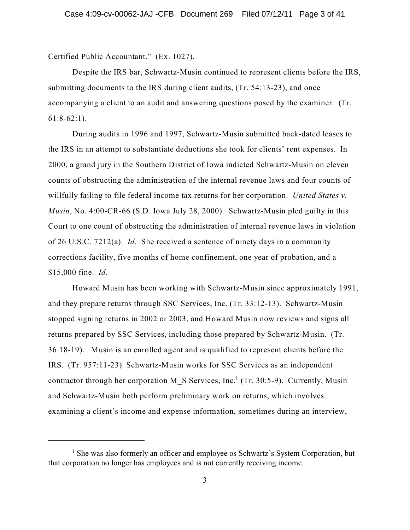Certified Public Accountant." (Ex. 1027).

Despite the IRS bar, Schwartz-Musin continued to represent clients before the IRS, submitting documents to the IRS during client audits, (Tr. 54:13-23), and once accompanying a client to an audit and answering questions posed by the examiner. (Tr.  $61:8-62:1$ ).

During audits in 1996 and 1997, Schwartz-Musin submitted back-dated leases to the IRS in an attempt to substantiate deductions she took for clients' rent expenses. In 2000, a grand jury in the Southern District of Iowa indicted Schwartz-Musin on eleven counts of obstructing the administration of the internal revenue laws and four counts of willfully failing to file federal income tax returns for her corporation. *United States v. Musin*, No. 4:00-CR-66 (S.D. Iowa July 28, 2000). Schwartz-Musin pled guilty in this Court to one count of obstructing the administration of internal revenue laws in violation of 26 U.S.C. 7212(a). *Id*. She received a sentence of ninety days in a community corrections facility, five months of home confinement, one year of probation, and a \$15,000 fine. *Id.*

Howard Musin has been working with Schwartz-Musin since approximately 1991, and they prepare returns through SSC Services, Inc. (Tr. 33:12-13). Schwartz-Musin stopped signing returns in 2002 or 2003, and Howard Musin now reviews and signs all returns prepared by SSC Services, including those prepared by Schwartz-Musin. (Tr. 36:18-19). Musin is an enrolled agent and is qualified to represent clients before the IRS. (Tr. 957:11-23). Schwartz-Musin works for SSC Services as an independent contractor through her corporation M\_S Services, Inc.<sup>1</sup> (Tr. 30:5-9). Currently, Musin and Schwartz-Musin both perform preliminary work on returns, which involves examining a client's income and expense information, sometimes during an interview,

 $<sup>1</sup>$  She was also formerly an officer and employee os Schwartz's System Corporation, but</sup> that corporation no longer has employees and is not currently receiving income.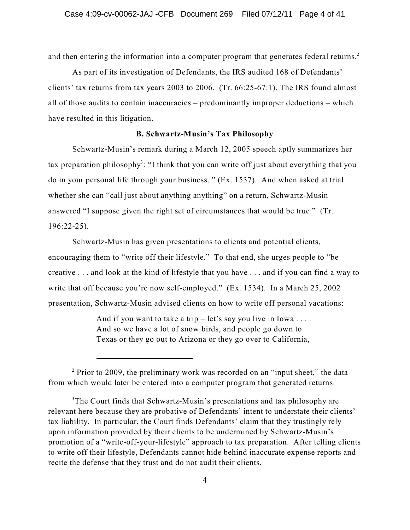and then entering the information into a computer program that generates federal returns.<sup>2</sup>

As part of its investigation of Defendants, the IRS audited 168 of Defendants' clients' tax returns from tax years 2003 to 2006. (Tr. 66:25-67:1). The IRS found almost all of those audits to contain inaccuracies – predominantly improper deductions – which have resulted in this litigation.

# **B. Schwartz-Musin's Tax Philosophy**

Schwartz-Musin's remark during a March 12, 2005 speech aptly summarizes her tax preparation philosophy<sup>3</sup>: "I think that you can write off just about everything that you do in your personal life through your business. " (Ex. 1537). And when asked at trial whether she can "call just about anything anything" on a return, Schwartz-Musin answered "I suppose given the right set of circumstances that would be true." (Tr. 196:22-25).

Schwartz-Musin has given presentations to clients and potential clients, encouraging them to "write off their lifestyle." To that end, she urges people to "be creative . . . and look at the kind of lifestyle that you have . . . and if you can find a way to write that off because you're now self-employed." (Ex. 1534). In a March 25, 2002 presentation, Schwartz-Musin advised clients on how to write off personal vacations:

> And if you want to take a trip – let's say you live in Iowa ... And so we have a lot of snow birds, and people go down to Texas or they go out to Arizona or they go over to California,

 $2$  Prior to 2009, the preliminary work was recorded on an "input sheet," the data from which would later be entered into a computer program that generated returns.

<sup>&</sup>lt;sup>3</sup>The Court finds that Schwartz-Musin's presentations and tax philosophy are relevant here because they are probative of Defendants' intent to understate their clients' tax liability. In particular, the Court finds Defendants' claim that they trustingly rely upon information provided by their clients to be undermined by Schwartz-Musin's promotion of a "write-off-your-lifestyle" approach to tax preparation. After telling clients to write off their lifestyle, Defendants cannot hide behind inaccurate expense reports and recite the defense that they trust and do not audit their clients.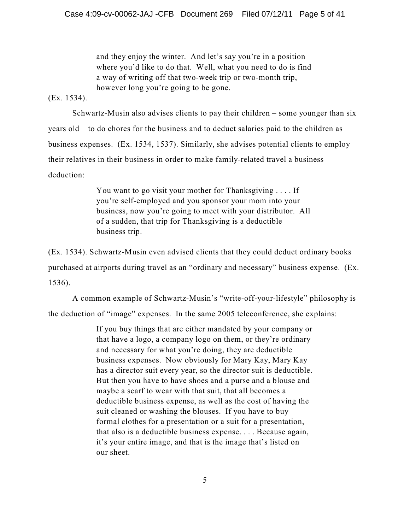and they enjoy the winter. And let's say you're in a position where you'd like to do that. Well, what you need to do is find a way of writing off that two-week trip or two-month trip, however long you're going to be gone.

(Ex. 1534).

Schwartz-Musin also advises clients to pay their children – some younger than six years old – to do chores for the business and to deduct salaries paid to the children as business expenses. (Ex. 1534, 1537). Similarly, she advises potential clients to employ their relatives in their business in order to make family-related travel a business deduction:

> You want to go visit your mother for Thanksgiving . . . . If you're self-employed and you sponsor your mom into your business, now you're going to meet with your distributor. All of a sudden, that trip for Thanksgiving is a deductible business trip.

(Ex. 1534). Schwartz-Musin even advised clients that they could deduct ordinary books purchased at airports during travel as an "ordinary and necessary" business expense. (Ex. 1536).

A common example of Schwartz-Musin's "write-off-your-lifestyle" philosophy is the deduction of "image" expenses. In the same 2005 teleconference, she explains:

> If you buy things that are either mandated by your company or that have a logo, a company logo on them, or they're ordinary and necessary for what you're doing, they are deductible business expenses. Now obviously for Mary Kay, Mary Kay has a director suit every year, so the director suit is deductible. But then you have to have shoes and a purse and a blouse and maybe a scarf to wear with that suit, that all becomes a deductible business expense, as well as the cost of having the suit cleaned or washing the blouses. If you have to buy formal clothes for a presentation or a suit for a presentation, that also is a deductible business expense. . . . Because again, it's your entire image, and that is the image that's listed on our sheet.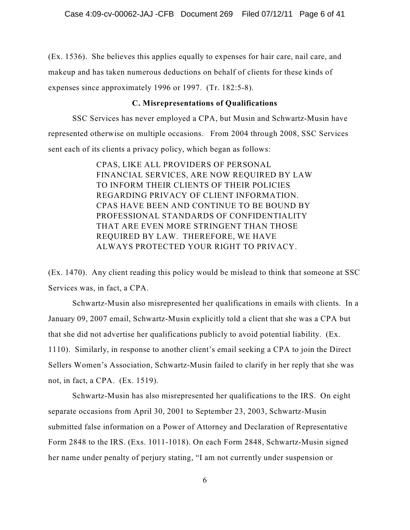(Ex. 1536). She believes this applies equally to expenses for hair care, nail care, and makeup and has taken numerous deductions on behalf of clients for these kinds of expenses since approximately 1996 or 1997. (Tr. 182:5-8).

# **C. Misrepresentations of Qualifications**

SSC Services has never employed a CPA, but Musin and Schwartz-Musin have represented otherwise on multiple occasions. From 2004 through 2008, SSC Services sent each of its clients a privacy policy, which began as follows:

> CPAS, LIKE ALL PROVIDERS OF PERSONAL FINANCIAL SERVICES, ARE NOW REQUIRED BY LAW TO INFORM THEIR CLIENTS OF THEIR POLICIES REGARDING PRIVACY OF CLIENT INFORMATION. CPAS HAVE BEEN AND CONTINUE TO BE BOUND BY PROFESSIONAL STANDARDS OF CONFIDENTIALITY THAT ARE EVEN MORE STRINGENT THAN THOSE REQUIRED BY LAW. THEREFORE, WE HAVE ALWAYS PROTECTED YOUR RIGHT TO PRIVACY.

(Ex. 1470). Any client reading this policy would be mislead to think that someone at SSC Services was, in fact, a CPA.

Schwartz-Musin also misrepresented her qualifications in emails with clients. In a January 09, 2007 email, Schwartz-Musin explicitly told a client that she was a CPA but that she did not advertise her qualifications publicly to avoid potential liability. (Ex. 1110). Similarly, in response to another client's email seeking a CPA to join the Direct Sellers Women's Association, Schwartz-Musin failed to clarify in her reply that she was not, in fact, a CPA. (Ex. 1519).

Schwartz-Musin has also misrepresented her qualifications to the IRS. On eight separate occasions from April 30, 2001 to September 23, 2003, Schwartz-Musin submitted false information on a Power of Attorney and Declaration of Representative Form 2848 to the IRS. (Exs. 1011-1018). On each Form 2848, Schwartz-Musin signed her name under penalty of perjury stating, "I am not currently under suspension or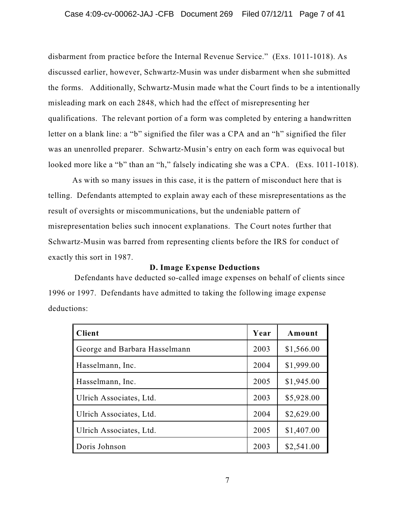disbarment from practice before the Internal Revenue Service." (Exs. 1011-1018). As discussed earlier, however, Schwartz-Musin was under disbarment when she submitted the forms. Additionally, Schwartz-Musin made what the Court finds to be a intentionally misleading mark on each 2848, which had the effect of misrepresenting her qualifications. The relevant portion of a form was completed by entering a handwritten letter on a blank line: a "b" signified the filer was a CPA and an "h" signified the filer was an unenrolled preparer. Schwartz-Musin's entry on each form was equivocal but looked more like a "b" than an "h," falsely indicating she was a CPA. (Exs. 1011-1018).

As with so many issues in this case, it is the pattern of misconduct here that is telling. Defendants attempted to explain away each of these misrepresentations as the result of oversights or miscommunications, but the undeniable pattern of misrepresentation belies such innocent explanations. The Court notes further that Schwartz-Musin was barred from representing clients before the IRS for conduct of exactly this sort in 1987.

# **D. Image Expense Deductions**

Defendants have deducted so-called image expenses on behalf of clients since 1996 or 1997. Defendants have admitted to taking the following image expense deductions:

| <b>Client</b>                 | Year | Amount     |
|-------------------------------|------|------------|
| George and Barbara Hasselmann | 2003 | \$1,566.00 |
| Hasselmann, Inc.              | 2004 | \$1,999.00 |
| Hasselmann, Inc.              | 2005 | \$1,945.00 |
| Ulrich Associates, Ltd.       | 2003 | \$5,928.00 |
| Ulrich Associates, Ltd.       | 2004 | \$2,629.00 |
| Ulrich Associates, Ltd.       | 2005 | \$1,407.00 |
| Doris Johnson                 | 2003 | \$2,541.00 |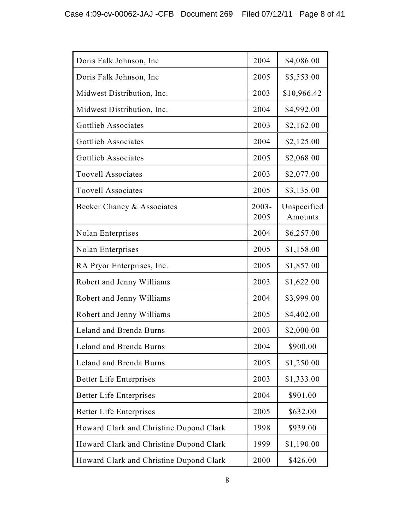| Doris Falk Johnson, Inc                 | 2004             | \$4,086.00             |
|-----------------------------------------|------------------|------------------------|
| Doris Falk Johnson, Inc.                | 2005             | \$5,553.00             |
| Midwest Distribution, Inc.              | 2003             | \$10,966.42            |
| Midwest Distribution, Inc.              | 2004             | \$4,992.00             |
| Gottlieb Associates                     | 2003             | \$2,162.00             |
| Gottlieb Associates                     | 2004             | \$2,125.00             |
| <b>Gottlieb Associates</b>              | 2005             | \$2,068.00             |
| <b>Toovell Associates</b>               | 2003             | \$2,077.00             |
| <b>Toovell Associates</b>               | 2005             | \$3,135.00             |
| Becker Chaney & Associates              | $2003 -$<br>2005 | Unspecified<br>Amounts |
| <b>Nolan Enterprises</b>                | 2004             | \$6,257.00             |
| <b>Nolan Enterprises</b>                | 2005             | \$1,158.00             |
| RA Pryor Enterprises, Inc.              | 2005             | \$1,857.00             |
| Robert and Jenny Williams               | 2003             | \$1,622.00             |
| Robert and Jenny Williams               | 2004             | \$3,999.00             |
| Robert and Jenny Williams               | 2005             | \$4,402.00             |
| Leland and Brenda Burns                 | 2003             | \$2,000.00             |
| Leland and Brenda Burns                 | 2004             | \$900.00               |
| Leland and Brenda Burns                 | 2005             | \$1,250.00             |
| <b>Better Life Enterprises</b>          | 2003             | \$1,333.00             |
| <b>Better Life Enterprises</b>          | 2004             | \$901.00               |
| <b>Better Life Enterprises</b>          | 2005             | \$632.00               |
| Howard Clark and Christine Dupond Clark | 1998             | \$939.00               |
| Howard Clark and Christine Dupond Clark | 1999             | \$1,190.00             |
| Howard Clark and Christine Dupond Clark | 2000             | \$426.00               |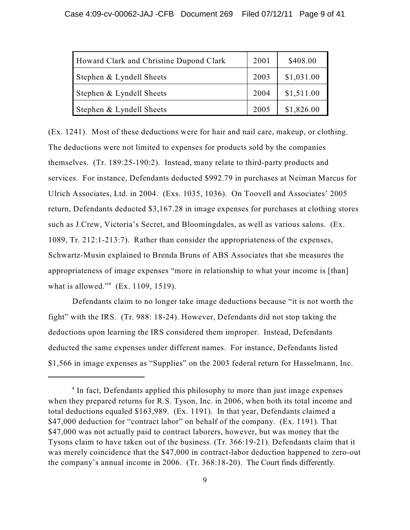| Howard Clark and Christine Dupond Clark | 2001 | \$408.00   |
|-----------------------------------------|------|------------|
| Stephen & Lyndell Sheets                | 2003 | \$1,031.00 |
| Stephen & Lyndell Sheets                | 2004 | \$1,511.00 |
| Stephen & Lyndell Sheets                | 2005 | \$1,826.00 |

(Ex. 1241). Most of these deductions were for hair and nail care, makeup, or clothing. The deductions were not limited to expenses for products sold by the companies themselves. (Tr. 189:25-190:2). Instead, many relate to third-party products and services. For instance, Defendants deducted \$992.79 in purchases at Neiman Marcus for Ulrich Associates, Ltd. in 2004. (Exs. 1035, 1036). On Toovell and Associates' 2005 return, Defendants deducted \$3,167.28 in image expenses for purchases at clothing stores such as J.Crew, Victoria's Secret, and Bloomingdales, as well as various salons. (Ex. 1089, Tr. 212:1-213:7). Rather than consider the appropriateness of the expenses, Schwartz-Musin explained to Brenda Bruns of ABS Associates that she measures the appropriateness of image expenses "more in relationship to what your income is [than] what is allowed."<sup>4</sup> (Ex. 1109, 1519).

Defendants claim to no longer take image deductions because "it is not worth the fight" with the IRS. (Tr. 988: 18-24). However, Defendants did not stop taking the deductions upon learning the IRS considered them improper. Instead, Defendants deducted the same expenses under different names. For instance, Defendants listed \$1,566 in image expenses as "Supplies" on the 2003 federal return for Hasselmann, Inc.

<sup>&</sup>lt;sup>4</sup> In fact, Defendants applied this philosophy to more than just image expenses when they prepared returns for R.S. Tyson, Inc. in 2006, when both its total income and total deductions equaled \$163,989. (Ex. 1191). In that year, Defendants claimed a \$47,000 deduction for "contract labor" on behalf of the company. (Ex. 1191). That \$47,000 was not actually paid to contract laborers, however, but was money that the Tysons claim to have taken out of the business. (Tr. 366:19-21). Defendants claim that it was merely coincidence that the \$47,000 in contract-labor deduction happened to zero-out the company's annual income in 2006. (Tr. 368:18-20). The Court finds differently.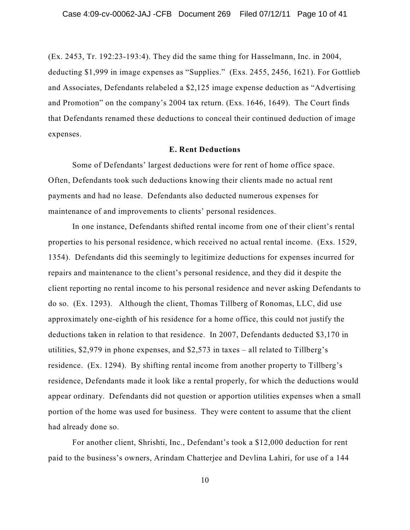(Ex. 2453, Tr. 192:23-193:4). They did the same thing for Hasselmann, Inc. in 2004, deducting \$1,999 in image expenses as "Supplies." (Exs. 2455, 2456, 1621). For Gottlieb and Associates, Defendants relabeled a \$2,125 image expense deduction as "Advertising and Promotion" on the company's 2004 tax return. (Exs. 1646, 1649). The Court finds that Defendants renamed these deductions to conceal their continued deduction of image expenses.

#### **E. Rent Deductions**

Some of Defendants' largest deductions were for rent of home office space. Often, Defendants took such deductions knowing their clients made no actual rent payments and had no lease. Defendants also deducted numerous expenses for maintenance of and improvements to clients' personal residences.

In one instance, Defendants shifted rental income from one of their client's rental properties to his personal residence, which received no actual rental income. (Exs. 1529, 1354). Defendants did this seemingly to legitimize deductions for expenses incurred for repairs and maintenance to the client's personal residence, and they did it despite the client reporting no rental income to his personal residence and never asking Defendants to do so. (Ex. 1293). Although the client, Thomas Tillberg of Ronomas, LLC, did use approximately one-eighth of his residence for a home office, this could not justify the deductions taken in relation to that residence. In 2007, Defendants deducted \$3,170 in utilities, \$2,979 in phone expenses, and \$2,573 in taxes – all related to Tillberg's residence. (Ex. 1294). By shifting rental income from another property to Tillberg's residence, Defendants made it look like a rental properly, for which the deductions would appear ordinary. Defendants did not question or apportion utilities expenses when a small portion of the home was used for business. They were content to assume that the client had already done so.

For another client, Shrishti, Inc., Defendant's took a \$12,000 deduction for rent paid to the business's owners, Arindam Chatterjee and Devlina Lahiri, for use of a 144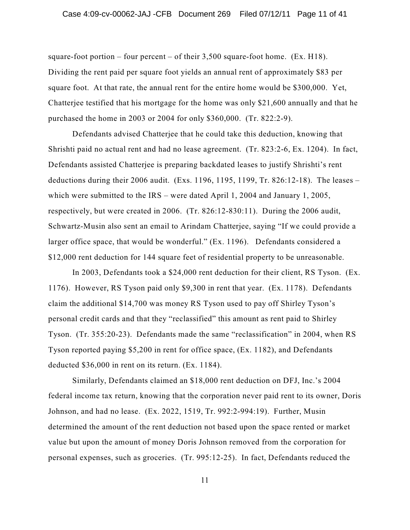square-foot portion – four percent – of their  $3,500$  square-foot home. (Ex. H18). Dividing the rent paid per square foot yields an annual rent of approximately \$83 per square foot. At that rate, the annual rent for the entire home would be \$300,000. Yet, Chatterjee testified that his mortgage for the home was only \$21,600 annually and that he purchased the home in 2003 or 2004 for only \$360,000. (Tr. 822:2-9).

Defendants advised Chatterjee that he could take this deduction, knowing that Shrishti paid no actual rent and had no lease agreement. (Tr. 823:2-6, Ex. 1204). In fact, Defendants assisted Chatterjee is preparing backdated leases to justify Shrishti's rent deductions during their 2006 audit. (Exs. 1196, 1195, 1199, Tr. 826:12-18). The leases – which were submitted to the IRS – were dated April 1, 2004 and January 1, 2005, respectively, but were created in 2006. (Tr. 826:12-830:11). During the 2006 audit, Schwartz-Musin also sent an email to Arindam Chatterjee, saying "If we could provide a larger office space, that would be wonderful." (Ex. 1196). Defendants considered a \$12,000 rent deduction for 144 square feet of residential property to be unreasonable.

In 2003, Defendants took a \$24,000 rent deduction for their client, RS Tyson. (Ex. 1176). However, RS Tyson paid only \$9,300 in rent that year. (Ex. 1178). Defendants claim the additional \$14,700 was money RS Tyson used to pay off Shirley Tyson's personal credit cards and that they "reclassified" this amount as rent paid to Shirley Tyson. (Tr. 355:20-23). Defendants made the same "reclassification" in 2004, when RS Tyson reported paying \$5,200 in rent for office space, (Ex. 1182), and Defendants deducted \$36,000 in rent on its return. (Ex. 1184).

Similarly, Defendants claimed an \$18,000 rent deduction on DFJ, Inc.'s 2004 federal income tax return, knowing that the corporation never paid rent to its owner, Doris Johnson, and had no lease. (Ex. 2022, 1519, Tr. 992:2-994:19). Further, Musin determined the amount of the rent deduction not based upon the space rented or market value but upon the amount of money Doris Johnson removed from the corporation for personal expenses, such as groceries. (Tr. 995:12-25). In fact, Defendants reduced the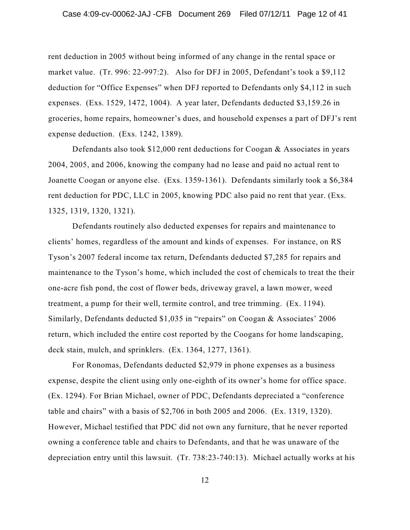rent deduction in 2005 without being informed of any change in the rental space or market value. (Tr. 996: 22-997:2). Also for DFJ in 2005, Defendant's took a \$9,112 deduction for "Office Expenses" when DFJ reported to Defendants only \$4,112 in such expenses. (Exs. 1529, 1472, 1004). A year later, Defendants deducted \$3,159.26 in groceries, home repairs, homeowner's dues, and household expenses a part of DFJ's rent expense deduction. (Exs. 1242, 1389).

Defendants also took \$12,000 rent deductions for Coogan & Associates in years 2004, 2005, and 2006, knowing the company had no lease and paid no actual rent to Joanette Coogan or anyone else. (Exs. 1359-1361). Defendants similarly took a \$6,384 rent deduction for PDC, LLC in 2005, knowing PDC also paid no rent that year. (Exs. 1325, 1319, 1320, 1321).

Defendants routinely also deducted expenses for repairs and maintenance to clients' homes, regardless of the amount and kinds of expenses. For instance, on RS Tyson's 2007 federal income tax return, Defendants deducted \$7,285 for repairs and maintenance to the Tyson's home, which included the cost of chemicals to treat the their one-acre fish pond, the cost of flower beds, driveway gravel, a lawn mower, weed treatment, a pump for their well, termite control, and tree trimming. (Ex. 1194). Similarly, Defendants deducted \$1,035 in "repairs" on Coogan & Associates' 2006 return, which included the entire cost reported by the Coogans for home landscaping, deck stain, mulch, and sprinklers. (Ex. 1364, 1277, 1361).

For Ronomas, Defendants deducted \$2,979 in phone expenses as a business expense, despite the client using only one-eighth of its owner's home for office space. (Ex. 1294). For Brian Michael, owner of PDC, Defendants depreciated a "conference table and chairs" with a basis of \$2,706 in both 2005 and 2006. (Ex. 1319, 1320). However, Michael testified that PDC did not own any furniture, that he never reported owning a conference table and chairs to Defendants, and that he was unaware of the depreciation entry until this lawsuit. (Tr. 738:23-740:13). Michael actually works at his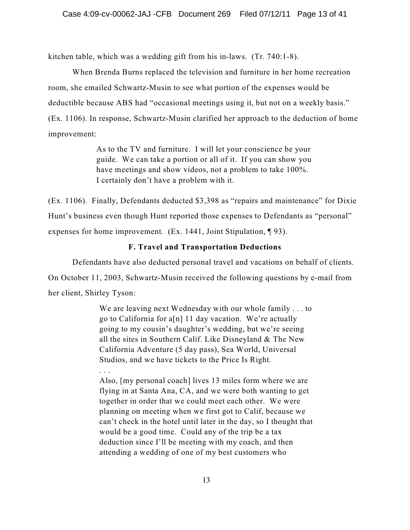kitchen table, which was a wedding gift from his in-laws. (Tr. 740:1-8).

When Brenda Burns replaced the television and furniture in her home recreation room, she emailed Schwartz-Musin to see what portion of the expenses would be deductible because ABS had "occasional meetings using it, but not on a weekly basis." (Ex. 1106). In response, Schwartz-Musin clarified her approach to the deduction of home improvement:

> As to the TV and furniture. I will let your conscience be your guide. We can take a portion or all of it. If you can show you have meetings and show videos, not a problem to take 100%. I certainly don't have a problem with it.

(Ex. 1106). Finally, Defendants deducted \$3,398 as "repairs and maintenance" for Dixie Hunt's business even though Hunt reported those expenses to Defendants as "personal" expenses for home improvement. (Ex. 1441, Joint Stipulation, ¶ 93).

# **F. Travel and Transportation Deductions**

Defendants have also deducted personal travel and vacations on behalf of clients. On October 11, 2003, Schwartz-Musin received the following questions by e-mail from her client, Shirley Tyson:

> We are leaving next Wednesday with our whole family . . . to go to California for a[n] 11 day vacation. We're actually going to my cousin's daughter's wedding, but we're seeing all the sites in Southern Calif. Like Disneyland & The New California Adventure (5 day pass), Sea World, Universal Studios, and we have tickets to the Price Is Right.

> . . . Also, [my personal coach] lives 13 miles form where we are flying in at Santa Ana, CA, and we were both wanting to get together in order that we could meet each other. We were planning on meeting when we first got to Calif, because we can't check in the hotel until later in the day, so I thought that would be a good time. Could any of the trip be a tax deduction since I'll be meeting with my coach, and then attending a wedding of one of my best customers who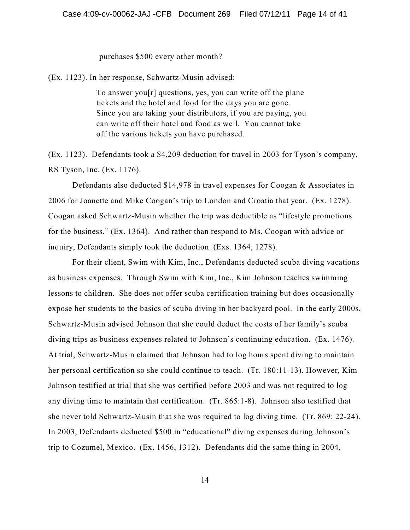### purchases \$500 every other month?

(Ex. 1123). In her response, Schwartz-Musin advised:

To answer you[r] questions, yes, you can write off the plane tickets and the hotel and food for the days you are gone. Since you are taking your distributors, if you are paying, you can write off their hotel and food as well. You cannot take off the various tickets you have purchased.

(Ex. 1123). Defendants took a \$4,209 deduction for travel in 2003 for Tyson's company, RS Tyson, Inc. (Ex. 1176).

Defendants also deducted \$14,978 in travel expenses for Coogan & Associates in 2006 for Joanette and Mike Coogan's trip to London and Croatia that year. (Ex. 1278). Coogan asked Schwartz-Musin whether the trip was deductible as "lifestyle promotions for the business." (Ex. 1364). And rather than respond to Ms. Coogan with advice or inquiry, Defendants simply took the deduction. (Exs. 1364, 1278).

For their client, Swim with Kim, Inc., Defendants deducted scuba diving vacations as business expenses. Through Swim with Kim, Inc., Kim Johnson teaches swimming lessons to children. She does not offer scuba certification training but does occasionally expose her students to the basics of scuba diving in her backyard pool. In the early 2000s, Schwartz-Musin advised Johnson that she could deduct the costs of her family's scuba diving trips as business expenses related to Johnson's continuing education. (Ex. 1476). At trial, Schwartz-Musin claimed that Johnson had to log hours spent diving to maintain her personal certification so she could continue to teach. (Tr. 180:11-13). However, Kim Johnson testified at trial that she was certified before 2003 and was not required to log any diving time to maintain that certification. (Tr. 865:1-8). Johnson also testified that she never told Schwartz-Musin that she was required to log diving time. (Tr. 869: 22-24). In 2003, Defendants deducted \$500 in "educational" diving expenses during Johnson's trip to Cozumel, Mexico. (Ex. 1456, 1312). Defendants did the same thing in 2004,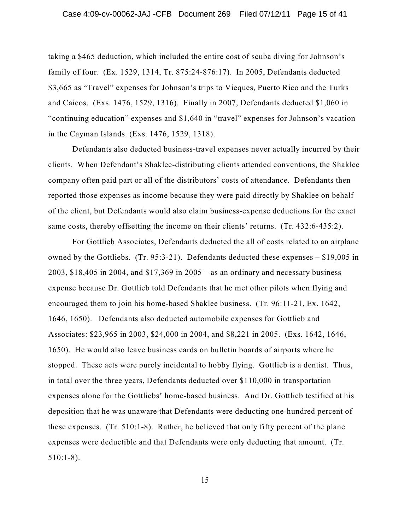taking a \$465 deduction, which included the entire cost of scuba diving for Johnson's family of four. (Ex. 1529, 1314, Tr. 875:24-876:17). In 2005, Defendants deducted \$3,665 as "Travel" expenses for Johnson's trips to Vieques, Puerto Rico and the Turks and Caicos. (Exs. 1476, 1529, 1316). Finally in 2007, Defendants deducted \$1,060 in "continuing education" expenses and \$1,640 in "travel" expenses for Johnson's vacation in the Cayman Islands. (Exs. 1476, 1529, 1318).

Defendants also deducted business-travel expenses never actually incurred by their clients. When Defendant's Shaklee-distributing clients attended conventions, the Shaklee company often paid part or all of the distributors' costs of attendance. Defendants then reported those expenses as income because they were paid directly by Shaklee on behalf of the client, but Defendants would also claim business-expense deductions for the exact same costs, thereby offsetting the income on their clients' returns. (Tr. 432:6-435:2).

For Gottlieb Associates, Defendants deducted the all of costs related to an airplane owned by the Gottliebs. (Tr. 95:3-21). Defendants deducted these expenses – \$19,005 in 2003, \$18,405 in 2004, and \$17,369 in 2005 – as an ordinary and necessary business expense because Dr. Gottlieb told Defendants that he met other pilots when flying and encouraged them to join his home-based Shaklee business. (Tr. 96:11-21, Ex. 1642, 1646, 1650). Defendants also deducted automobile expenses for Gottlieb and Associates: \$23,965 in 2003, \$24,000 in 2004, and \$8,221 in 2005. (Exs. 1642, 1646, 1650). He would also leave business cards on bulletin boards of airports where he stopped. These acts were purely incidental to hobby flying. Gottlieb is a dentist. Thus, in total over the three years, Defendants deducted over \$110,000 in transportation expenses alone for the Gottliebs' home-based business. And Dr. Gottlieb testified at his deposition that he was unaware that Defendants were deducting one-hundred percent of these expenses. (Tr. 510:1-8). Rather, he believed that only fifty percent of the plane expenses were deductible and that Defendants were only deducting that amount. (Tr. 510:1-8).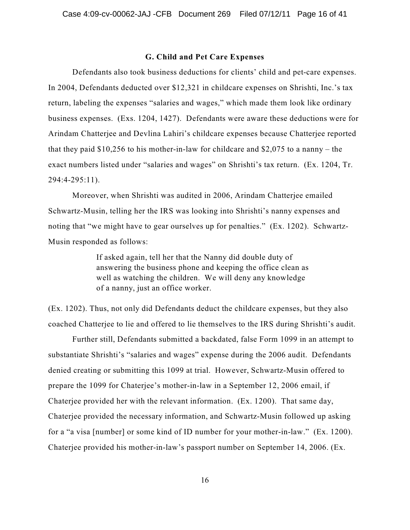#### **G. Child and Pet Care Expenses**

Defendants also took business deductions for clients' child and pet-care expenses. In 2004, Defendants deducted over \$12,321 in childcare expenses on Shrishti, Inc.'s tax return, labeling the expenses "salaries and wages," which made them look like ordinary business expenses. (Exs. 1204, 1427). Defendants were aware these deductions were for Arindam Chatterjee and Devlina Lahiri's childcare expenses because Chatterjee reported that they paid  $$10,256$  to his mother-in-law for childcare and  $$2,075$  to a nanny – the exact numbers listed under "salaries and wages" on Shrishti's tax return. (Ex. 1204, Tr. 294:4-295:11).

Moreover, when Shrishti was audited in 2006, Arindam Chatterjee emailed Schwartz-Musin, telling her the IRS was looking into Shrishti's nanny expenses and noting that "we might have to gear ourselves up for penalties." (Ex. 1202). Schwartz-Musin responded as follows:

> If asked again, tell her that the Nanny did double duty of answering the business phone and keeping the office clean as well as watching the children. We will deny any knowledge of a nanny, just an office worker.

(Ex. 1202). Thus, not only did Defendants deduct the childcare expenses, but they also coached Chatterjee to lie and offered to lie themselves to the IRS during Shrishti's audit.

Further still, Defendants submitted a backdated, false Form 1099 in an attempt to substantiate Shrishti's "salaries and wages" expense during the 2006 audit. Defendants denied creating or submitting this 1099 at trial. However, Schwartz-Musin offered to prepare the 1099 for Chaterjee's mother-in-law in a September 12, 2006 email, if Chaterjee provided her with the relevant information. (Ex. 1200). That same day, Chaterjee provided the necessary information, and Schwartz-Musin followed up asking for a "a visa [number] or some kind of ID number for your mother-in-law." (Ex. 1200). Chaterjee provided his mother-in-law's passport number on September 14, 2006. (Ex.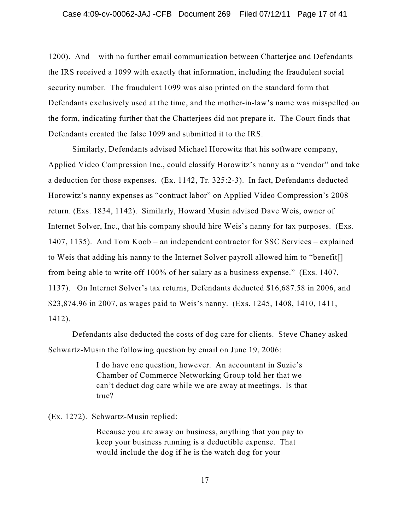1200). And – with no further email communication between Chatterjee and Defendants – the IRS received a 1099 with exactly that information, including the fraudulent social security number. The fraudulent 1099 was also printed on the standard form that Defendants exclusively used at the time, and the mother-in-law's name was misspelled on the form, indicating further that the Chatterjees did not prepare it. The Court finds that Defendants created the false 1099 and submitted it to the IRS.

Similarly, Defendants advised Michael Horowitz that his software company, Applied Video Compression Inc., could classify Horowitz's nanny as a "vendor" and take a deduction for those expenses. (Ex. 1142, Tr. 325:2-3). In fact, Defendants deducted Horowitz's nanny expenses as "contract labor" on Applied Video Compression's 2008 return. (Exs. 1834, 1142). Similarly, Howard Musin advised Dave Weis, owner of Internet Solver, Inc., that his company should hire Weis's nanny for tax purposes. (Exs. 1407, 1135). And Tom Koob – an independent contractor for SSC Services – explained to Weis that adding his nanny to the Internet Solver payroll allowed him to "benefit[] from being able to write off 100% of her salary as a business expense." (Exs. 1407, 1137). On Internet Solver's tax returns, Defendants deducted \$16,687.58 in 2006, and \$23,874.96 in 2007, as wages paid to Weis's nanny. (Exs. 1245, 1408, 1410, 1411, 1412).

Defendants also deducted the costs of dog care for clients. Steve Chaney asked Schwartz-Musin the following question by email on June 19, 2006:

> I do have one question, however. An accountant in Suzie's Chamber of Commerce Networking Group told her that we can't deduct dog care while we are away at meetings. Is that true?

(Ex. 1272). Schwartz-Musin replied:

Because you are away on business, anything that you pay to keep your business running is a deductible expense. That would include the dog if he is the watch dog for your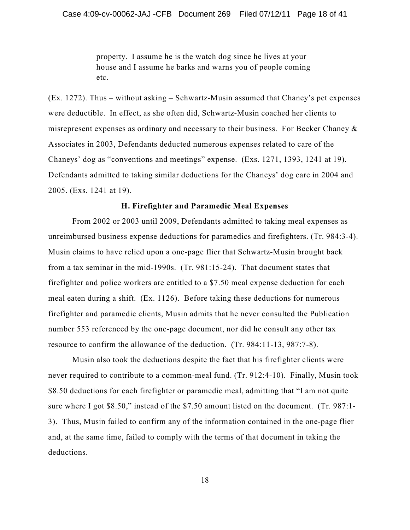property. I assume he is the watch dog since he lives at your house and I assume he barks and warns you of people coming etc.

(Ex. 1272). Thus – without asking – Schwartz-Musin assumed that Chaney's pet expenses were deductible. In effect, as she often did, Schwartz-Musin coached her clients to misrepresent expenses as ordinary and necessary to their business. For Becker Chaney & Associates in 2003, Defendants deducted numerous expenses related to care of the Chaneys' dog as "conventions and meetings" expense. (Exs. 1271, 1393, 1241 at 19). Defendants admitted to taking similar deductions for the Chaneys' dog care in 2004 and 2005. (Exs. 1241 at 19).

# **H. Firefighter and Paramedic Meal Expenses**

From 2002 or 2003 until 2009, Defendants admitted to taking meal expenses as unreimbursed business expense deductions for paramedics and firefighters. (Tr. 984:3-4). Musin claims to have relied upon a one-page flier that Schwartz-Musin brought back from a tax seminar in the mid-1990s. (Tr. 981:15-24). That document states that firefighter and police workers are entitled to a \$7.50 meal expense deduction for each meal eaten during a shift. (Ex. 1126). Before taking these deductions for numerous firefighter and paramedic clients, Musin admits that he never consulted the Publication number 553 referenced by the one-page document, nor did he consult any other tax resource to confirm the allowance of the deduction. (Tr. 984:11-13, 987:7-8).

Musin also took the deductions despite the fact that his firefighter clients were never required to contribute to a common-meal fund. (Tr. 912:4-10). Finally, Musin took \$8.50 deductions for each firefighter or paramedic meal, admitting that "I am not quite sure where I got \$8.50," instead of the \$7.50 amount listed on the document. (Tr. 987:1- 3). Thus, Musin failed to confirm any of the information contained in the one-page flier and, at the same time, failed to comply with the terms of that document in taking the deductions.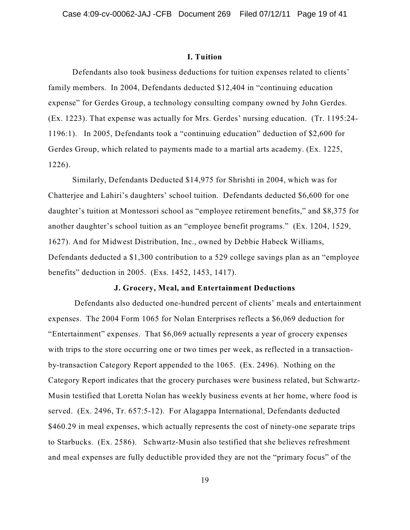#### **I. Tuition**

Defendants also took business deductions for tuition expenses related to clients' family members. In 2004, Defendants deducted \$12,404 in "continuing education expense" for Gerdes Group, a technology consulting company owned by John Gerdes. (Ex. 1223). That expense was actually for Mrs. Gerdes' nursing education. (Tr. 1195:24- 1196:1). In 2005, Defendants took a "continuing education" deduction of \$2,600 for Gerdes Group, which related to payments made to a martial arts academy. (Ex. 1225, 1226).

Similarly, Defendants Deducted \$14,975 for Shrishti in 2004, which was for Chatterjee and Lahiri's daughters' school tuition. Defendants deducted \$6,600 for one daughter's tuition at Montessori school as "employee retirement benefits," and \$8,375 for another daughter's school tuition as an "employee benefit programs." (Ex. 1204, 1529, 1627). And for Midwest Distribution, Inc., owned by Debbie Habeck Williams, Defendants deducted a \$1,300 contribution to a 529 college savings plan as an "employee benefits" deduction in 2005. (Exs. 1452, 1453, 1417).

### **J. Grocery, Meal, and Entertainment Deductions**

Defendants also deducted one-hundred percent of clients' meals and entertainment expenses. The 2004 Form 1065 for Nolan Enterprises reflects a \$6,069 deduction for "Entertainment" expenses. That \$6,069 actually represents a year of grocery expenses with trips to the store occurring one or two times per week, as reflected in a transactionby-transaction Category Report appended to the 1065. (Ex. 2496). Nothing on the Category Report indicates that the grocery purchases were business related, but Schwartz-Musin testified that Loretta Nolan has weekly business events at her home, where food is served. (Ex. 2496, Tr. 657:5-12). For Alagappa International, Defendants deducted \$460.29 in meal expenses, which actually represents the cost of ninety-one separate trips to Starbucks. (Ex. 2586). Schwartz-Musin also testified that she believes refreshment and meal expenses are fully deductible provided they are not the "primary focus" of the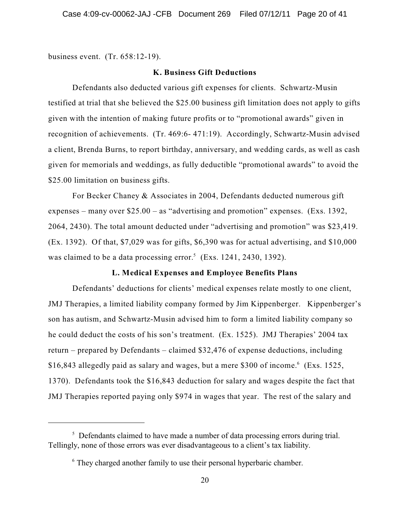business event. (Tr. 658:12-19).

# **K. Business Gift Deductions**

Defendants also deducted various gift expenses for clients. Schwartz-Musin testified at trial that she believed the \$25.00 business gift limitation does not apply to gifts given with the intention of making future profits or to "promotional awards" given in recognition of achievements. (Tr. 469:6- 471:19). Accordingly, Schwartz-Musin advised a client, Brenda Burns, to report birthday, anniversary, and wedding cards, as well as cash given for memorials and weddings, as fully deductible "promotional awards" to avoid the \$25.00 limitation on business gifts.

For Becker Chaney & Associates in 2004, Defendants deducted numerous gift expenses – many over \$25.00 – as "advertising and promotion" expenses. (Exs. 1392, 2064, 2430). The total amount deducted under "advertising and promotion" was \$23,419. (Ex. 1392). Of that, \$7,029 was for gifts, \$6,390 was for actual advertising, and \$10,000 was claimed to be a data processing error. $5$  (Exs. 1241, 2430, 1392).

## **L. Medical Expenses and Employee Benefits Plans**

Defendants' deductions for clients' medical expenses relate mostly to one client, JMJ Therapies, a limited liability company formed by Jim Kippenberger. Kippenberger's son has autism, and Schwartz-Musin advised him to form a limited liability company so he could deduct the costs of his son's treatment. (Ex. 1525). JMJ Therapies' 2004 tax return – prepared by Defendants – claimed \$32,476 of expense deductions, including \$16,843 allegedly paid as salary and wages, but a mere \$300 of income.<sup>6</sup> (Exs. 1525, 1370). Defendants took the \$16,843 deduction for salary and wages despite the fact that JMJ Therapies reported paying only \$974 in wages that year. The rest of the salary and

 $\frac{1}{2}$  Defendants claimed to have made a number of data processing errors during trial. Tellingly, none of those errors was ever disadvantageous to a client's tax liability.

 $6$  They charged another family to use their personal hyperbaric chamber.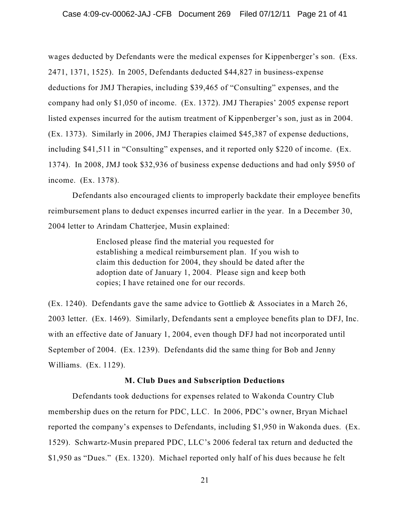wages deducted by Defendants were the medical expenses for Kippenberger's son. (Exs. 2471, 1371, 1525). In 2005, Defendants deducted \$44,827 in business-expense deductions for JMJ Therapies, including \$39,465 of "Consulting" expenses, and the company had only \$1,050 of income. (Ex. 1372). JMJ Therapies' 2005 expense report listed expenses incurred for the autism treatment of Kippenberger's son, just as in 2004. (Ex. 1373). Similarly in 2006, JMJ Therapies claimed \$45,387 of expense deductions, including \$41,511 in "Consulting" expenses, and it reported only \$220 of income. (Ex. 1374). In 2008, JMJ took \$32,936 of business expense deductions and had only \$950 of income. (Ex. 1378).

Defendants also encouraged clients to improperly backdate their employee benefits reimbursement plans to deduct expenses incurred earlier in the year. In a December 30, 2004 letter to Arindam Chatterjee, Musin explained:

> Enclosed please find the material you requested for establishing a medical reimbursement plan. If you wish to claim this deduction for 2004, they should be dated after the adoption date of January 1, 2004. Please sign and keep both copies; I have retained one for our records.

(Ex. 1240). Defendants gave the same advice to Gottlieb & Associates in a March 26, 2003 letter. (Ex. 1469). Similarly, Defendants sent a employee benefits plan to DFJ, Inc. with an effective date of January 1, 2004, even though DFJ had not incorporated until September of 2004. (Ex. 1239). Defendants did the same thing for Bob and Jenny Williams. (Ex. 1129).

### **M. Club Dues and Subscription Deductions**

Defendants took deductions for expenses related to Wakonda Country Club membership dues on the return for PDC, LLC. In 2006, PDC's owner, Bryan Michael reported the company's expenses to Defendants, including \$1,950 in Wakonda dues. (Ex. 1529). Schwartz-Musin prepared PDC, LLC's 2006 federal tax return and deducted the \$1,950 as "Dues." (Ex. 1320). Michael reported only half of his dues because he felt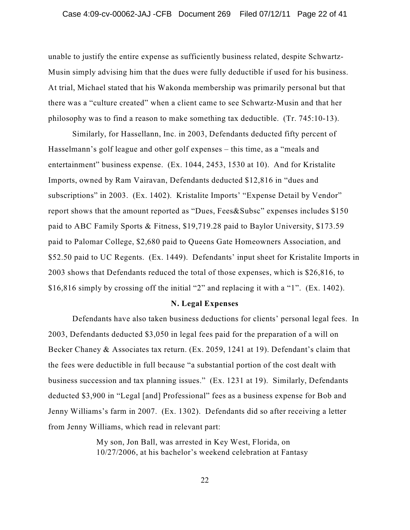unable to justify the entire expense as sufficiently business related, despite Schwartz-Musin simply advising him that the dues were fully deductible if used for his business. At trial, Michael stated that his Wakonda membership was primarily personal but that there was a "culture created" when a client came to see Schwartz-Musin and that her philosophy was to find a reason to make something tax deductible. (Tr. 745:10-13).

Similarly, for Hassellann, Inc. in 2003, Defendants deducted fifty percent of Hasselmann's golf league and other golf expenses – this time, as a "meals and entertainment" business expense. (Ex. 1044, 2453, 1530 at 10). And for Kristalite Imports, owned by Ram Vairavan, Defendants deducted \$12,816 in "dues and subscriptions" in 2003. (Ex. 1402). Kristalite Imports' "Expense Detail by Vendor" report shows that the amount reported as "Dues, Fees&Subsc" expenses includes \$150 paid to ABC Family Sports & Fitness, \$19,719.28 paid to Baylor University, \$173.59 paid to Palomar College, \$2,680 paid to Queens Gate Homeowners Association, and \$52.50 paid to UC Regents. (Ex. 1449). Defendants' input sheet for Kristalite Imports in 2003 shows that Defendants reduced the total of those expenses, which is \$26,816, to \$16,816 simply by crossing off the initial "2" and replacing it with a "1". (Ex. 1402).

#### **N. Legal Expenses**

Defendants have also taken business deductions for clients' personal legal fees. In 2003, Defendants deducted \$3,050 in legal fees paid for the preparation of a will on Becker Chaney & Associates tax return. (Ex. 2059, 1241 at 19). Defendant's claim that the fees were deductible in full because "a substantial portion of the cost dealt with business succession and tax planning issues." (Ex. 1231 at 19). Similarly, Defendants deducted \$3,900 in "Legal [and] Professional" fees as a business expense for Bob and Jenny Williams's farm in 2007. (Ex. 1302). Defendants did so after receiving a letter from Jenny Williams, which read in relevant part:

> My son, Jon Ball, was arrested in Key West, Florida, on 10/27/2006, at his bachelor's weekend celebration at Fantasy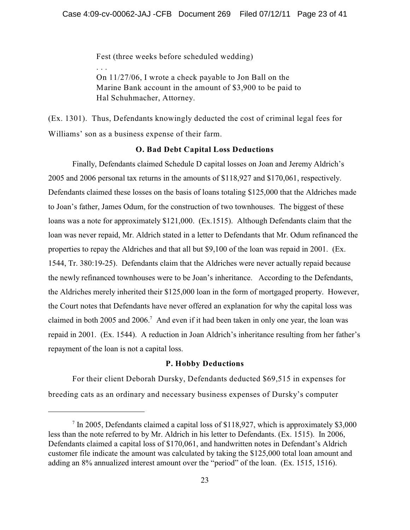Fest (three weeks before scheduled wedding)

. . .

On 11/27/06, I wrote a check payable to Jon Ball on the Marine Bank account in the amount of \$3,900 to be paid to Hal Schuhmacher, Attorney.

(Ex. 1301). Thus, Defendants knowingly deducted the cost of criminal legal fees for Williams' son as a business expense of their farm.

### **O. Bad Debt Capital Loss Deductions**

Finally, Defendants claimed Schedule D capital losses on Joan and Jeremy Aldrich's 2005 and 2006 personal tax returns in the amounts of \$118,927 and \$170,061, respectively. Defendants claimed these losses on the basis of loans totaling \$125,000 that the Aldriches made to Joan's father, James Odum, for the construction of two townhouses. The biggest of these loans was a note for approximately \$121,000. (Ex.1515). Although Defendants claim that the loan was never repaid, Mr. Aldrich stated in a letter to Defendants that Mr. Odum refinanced the properties to repay the Aldriches and that all but \$9,100 of the loan was repaid in 2001. (Ex. 1544, Tr. 380:19-25). Defendants claim that the Aldriches were never actually repaid because the newly refinanced townhouses were to be Joan's inheritance. According to the Defendants, the Aldriches merely inherited their \$125,000 loan in the form of mortgaged property. However, the Court notes that Defendants have never offered an explanation for why the capital loss was claimed in both  $2005$  and  $2006$ .<sup>7</sup> And even if it had been taken in only one year, the loan was repaid in 2001. (Ex. 1544). A reduction in Joan Aldrich's inheritance resulting from her father's repayment of the loan is not a capital loss.

### **P. Hobby Deductions**

For their client Deborah Dursky, Defendants deducted \$69,515 in expenses for breeding cats as an ordinary and necessary business expenses of Dursky's computer

 $\frac{7}{1}$  In 2005, Defendants claimed a capital loss of \$118,927, which is approximately \$3,000 less than the note referred to by Mr. Aldrich in his letter to Defendants. (Ex. 1515). In 2006, Defendants claimed a capital loss of \$170,061, and handwritten notes in Defendant's Aldrich customer file indicate the amount was calculated by taking the \$125,000 total loan amount and adding an 8% annualized interest amount over the "period" of the loan. (Ex. 1515, 1516).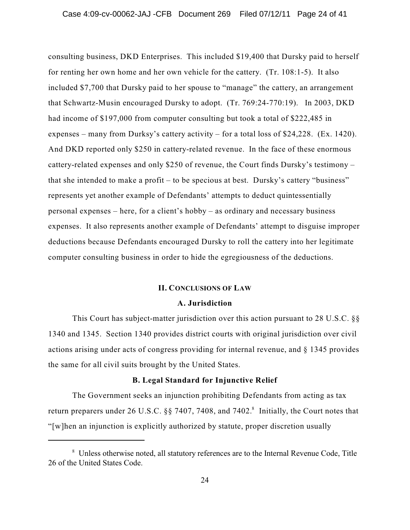consulting business, DKD Enterprises. This included \$19,400 that Dursky paid to herself for renting her own home and her own vehicle for the cattery. (Tr. 108:1-5). It also included \$7,700 that Dursky paid to her spouse to "manage" the cattery, an arrangement that Schwartz-Musin encouraged Dursky to adopt. (Tr. 769:24-770:19). In 2003, DKD had income of \$197,000 from computer consulting but took a total of \$222,485 in expenses – many from Durksy's cattery activity – for a total loss of \$24,228. (Ex. 1420). And DKD reported only \$250 in cattery-related revenue. In the face of these enormous cattery-related expenses and only \$250 of revenue, the Court finds Dursky's testimony – that she intended to make a profit – to be specious at best. Dursky's cattery "business" represents yet another example of Defendants' attempts to deduct quintessentially personal expenses – here, for a client's hobby – as ordinary and necessary business expenses. It also represents another example of Defendants' attempt to disguise improper deductions because Defendants encouraged Dursky to roll the cattery into her legitimate computer consulting business in order to hide the egregiousness of the deductions.

### **II. CONCLUSIONS OF LAW**

#### **A. Jurisdiction**

This Court has subject-matter jurisdiction over this action pursuant to 28 U.S.C. §§ 1340 and 1345. Section 1340 provides district courts with original jurisdiction over civil actions arising under acts of congress providing for internal revenue, and § 1345 provides the same for all civil suits brought by the United States.

## **B. Legal Standard for Injunctive Relief**

The Government seeks an injunction prohibiting Defendants from acting as tax return preparers under 26 U.S.C. §§ 7407, 7408, and 7402. $^8$  Initially, the Court notes that "[w]hen an injunction is explicitly authorized by statute, proper discretion usually

<sup>&</sup>lt;sup>8</sup> Unless otherwise noted, all statutory references are to the Internal Revenue Code, Title 26 of the United States Code.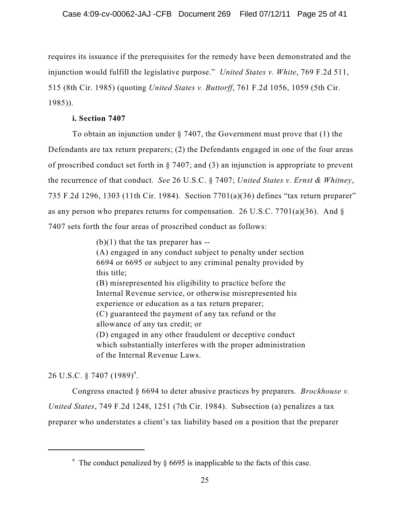requires its issuance if the prerequisites for the remedy have been demonstrated and the injunction would fulfill the legislative purpose." *United States v. White*, 769 F.2d 511, 515 (8th Cir. 1985) (quoting *United States v. Buttorff*, 761 F.2d 1056, 1059 (5th Cir. 1985)).

# **i. Section 7407**

To obtain an injunction under  $\S$  7407, the Government must prove that (1) the Defendants are tax return preparers; (2) the Defendants engaged in one of the four areas of proscribed conduct set forth in § 7407; and (3) an injunction is appropriate to prevent the recurrence of that conduct. *See* 26 U.S.C. § 7407; *United States v. Ernst & Whitney*, 735 F.2d 1296, 1303 (11th Cir. 1984). Section 7701(a)(36) defines "tax return preparer" as any person who prepares returns for compensation. 26 U.S.C. 7701(a)(36). And  $\S$ 7407 sets forth the four areas of proscribed conduct as follows:

> $(b)(1)$  that the tax preparer has --(A) engaged in any conduct subject to penalty under section 6694 or 6695 or subject to any criminal penalty provided by this title; (B) misrepresented his eligibility to practice before the Internal Revenue service, or otherwise misrepresented his experience or education as a tax return preparer; (C) guaranteed the payment of any tax refund or the allowance of any tax credit; or (D) engaged in any other fraudulent or deceptive conduct which substantially interferes with the proper administration of the Internal Revenue Laws.

26 U.S.C. § 7407 (1989)<sup>9</sup>.

Congress enacted § 6694 to deter abusive practices by preparers. *Brockhouse v. United States*, 749 F.2d 1248, 1251 (7th Cir. 1984). Subsection (a) penalizes a tax preparer who understates a client's tax liability based on a position that the preparer

<sup>&</sup>lt;sup>9</sup> The conduct penalized by  $\S$  6695 is inapplicable to the facts of this case.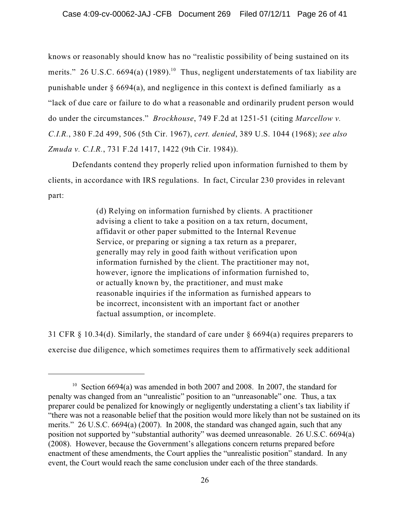knows or reasonably should know has no "realistic possibility of being sustained on its merits." 26 U.S.C. 6694(a)  $(1989)$ .<sup>10</sup> Thus, negligent understatements of tax liability are punishable under § 6694(a), and negligence in this context is defined familiarly as a "lack of due care or failure to do what a reasonable and ordinarily prudent person would do under the circumstances." *Brockhouse*, 749 F.2d at 1251-51 (citing *Marcellow v. C.I.R.*, 380 F.2d 499, 506 (5th Cir. 1967), *cert. denied*, 389 U.S. 1044 (1968); *see also Zmuda v. C.I.R.*, 731 F.2d 1417, 1422 (9th Cir. 1984)).

Defendants contend they properly relied upon information furnished to them by clients, in accordance with IRS regulations. In fact, Circular 230 provides in relevant part:

> (d) Relying on information furnished by clients. A practitioner advising a client to take a position on a tax return, document, affidavit or other paper submitted to the Internal Revenue Service, or preparing or signing a tax return as a preparer, generally may rely in good faith without verification upon information furnished by the client. The practitioner may not, however, ignore the implications of information furnished to, or actually known by, the practitioner, and must make reasonable inquiries if the information as furnished appears to be incorrect, inconsistent with an important fact or another factual assumption, or incomplete.

31 CFR § 10.34(d). Similarly, the standard of care under § 6694(a) requires preparers to exercise due diligence, which sometimes requires them to affirmatively seek additional

<sup>&</sup>lt;sup>10</sup> Section 6694(a) was amended in both 2007 and 2008. In 2007, the standard for penalty was changed from an "unrealistic" position to an "unreasonable" one. Thus, a tax preparer could be penalized for knowingly or negligently understating a client's tax liability if "there was not a reasonable belief that the position would more likely than not be sustained on its merits." 26 U.S.C. 6694(a) (2007). In 2008, the standard was changed again, such that any position not supported by "substantial authority" was deemed unreasonable. 26 U.S.C. 6694(a) (2008). However, because the Government's allegations concern returns prepared before enactment of these amendments, the Court applies the "unrealistic position" standard. In any event, the Court would reach the same conclusion under each of the three standards.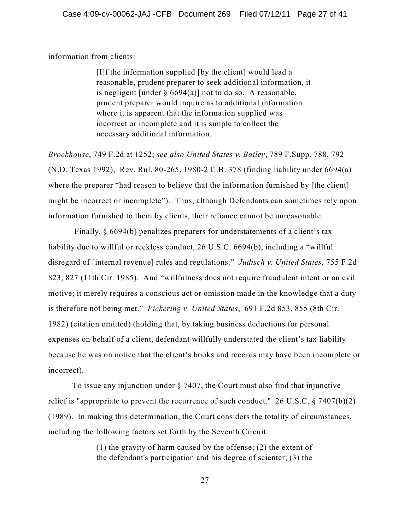information from clients:

[I]f the information supplied [by the client] would lead a reasonable, prudent preparer to seek additional information, it is negligent [under  $\S 6694(a)$ ] not to do so. A reasonable, prudent preparer would inquire as to additional information where it is apparent that the information supplied was incorrect or incomplete and it is simple to collect the necessary additional information.

*Brockhouse*, 749 F.2d at 1252; *see also United States v. Bailey*, 789 F.Supp. 788, 792 (N.D. Texas 1992), Rev. Rul. 80-265, 1980-2 C.B. 378 (finding liability under 6694(a) where the preparer "had reason to believe that the information furnished by [the client] might be incorrect or incomplete"). Thus, although Defendants can sometimes rely upon information furnished to them by clients, their reliance cannot be unreasonable.

Finally, § 6694(b) penalizes preparers for understatements of a client's tax liability due to willful or reckless conduct, 26 U.S.C. 6694(b), including a "willful disregard of [internal revenue] rules and regulations." *Judisch v. United States*, 755 F.2d 823, 827 (11th Cir. 1985). And "willfulness does not require fraudulent intent or an evil motive; it merely requires a conscious act or omission made in the knowledge that a duty is therefore not being met." *Pickering v. United States*, 691 F.2d 853, 855 (8th Cir. 1982) (citation omitted) (holding that, by taking business deductions for personal expenses on behalf of a client, defendant willfully understated the client's tax liability because he was on notice that the client's books and records may have been incomplete or incorrect).

To issue any injunction under § 7407, the Court must also find that injunctive relief is "appropriate to prevent the recurrence of such conduct." 26 U.S.C.  $\S 7407(b)(2)$ (1989). In making this determination, the Court considers the totality of circumstances, including the following factors set forth by the Seventh Circuit:

> (1) the gravity of harm caused by the offense; (2) the extent of the defendant's participation and his degree of scienter; (3) the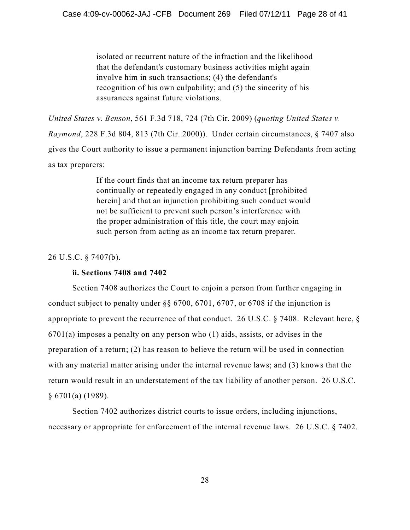isolated or recurrent nature of the infraction and the likelihood that the defendant's customary business activities might again involve him in such transactions; (4) the defendant's recognition of his own culpability; and (5) the sincerity of his assurances against future violations.

*United States v. Benson*, 561 F.3d 718, 724 (7th Cir. 2009) (*quoting United States v. Raymond*, 228 F.3d 804, 813 (7th Cir. 2000)). Under certain circumstances, § 7407 also gives the Court authority to issue a permanent injunction barring Defendants from acting as tax preparers:

> If the court finds that an income tax return preparer has continually or repeatedly engaged in any conduct [prohibited herein] and that an injunction prohibiting such conduct would not be sufficient to prevent such person's interference with the proper administration of this title, the court may enjoin such person from acting as an income tax return preparer.

### 26 U.S.C. § 7407(b).

### **ii. Sections 7408 and 7402**

Section 7408 authorizes the Court to enjoin a person from further engaging in conduct subject to penalty under §§ 6700, 6701, 6707, or 6708 if the injunction is appropriate to prevent the recurrence of that conduct. 26 U.S.C. § 7408. Relevant here, § 6701(a) imposes a penalty on any person who (1) aids, assists, or advises in the preparation of a return; (2) has reason to believe the return will be used in connection with any material matter arising under the internal revenue laws; and (3) knows that the return would result in an understatement of the tax liability of another person. 26 U.S.C. § 6701(a) (1989).

Section 7402 authorizes district courts to issue orders, including injunctions, necessary or appropriate for enforcement of the internal revenue laws. 26 U.S.C. § 7402.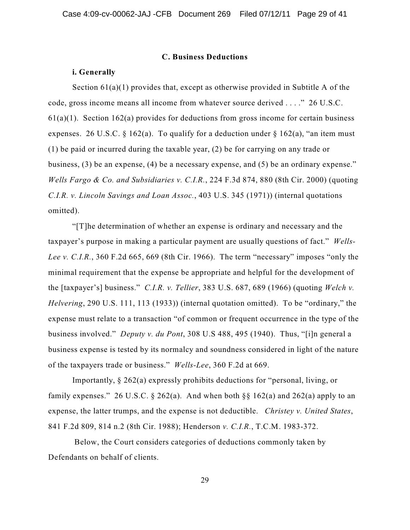#### **C. Business Deductions**

#### **i. Generally**

Section 61(a)(1) provides that, except as otherwise provided in Subtitle A of the code, gross income means all income from whatever source derived . . . ." 26 U.S.C.  $61(a)(1)$ . Section  $162(a)$  provides for deductions from gross income for certain business expenses. 26 U.S.C. § 162(a). To qualify for a deduction under § 162(a), "an item must (1) be paid or incurred during the taxable year, (2) be for carrying on any trade or business, (3) be an expense, (4) be a necessary expense, and (5) be an ordinary expense." *Wells Fargo & Co. and Subsidiaries v. C.I.R.*, 224 F.3d 874, 880 (8th Cir. 2000) (quoting *C.I.R. v. Lincoln Savings and Loan Assoc.*, 403 U.S. 345 (1971)) (internal quotations omitted).

"[T]he determination of whether an expense is ordinary and necessary and the taxpayer's purpose in making a particular payment are usually questions of fact." *Wells-Lee v. C.I.R.*, 360 F.2d 665, 669 (8th Cir. 1966). The term "necessary" imposes "only the minimal requirement that the expense be appropriate and helpful for the development of the [taxpayer's] business." *C.I.R. v. Tellier*, 383 U.S. 687, 689 (1966) (quoting *Welch v. Helvering*, 290 U.S. 111, 113 (1933)) (internal quotation omitted). To be "ordinary," the expense must relate to a transaction "of common or frequent occurrence in the type of the business involved." *Deputy v. du Pont*, 308 U.S 488, 495 (1940). Thus, "[i]n general a business expense is tested by its normalcy and soundness considered in light of the nature of the taxpayers trade or business." *Wells-Lee*, 360 F.2d at 669.

Importantly, § 262(a) expressly prohibits deductions for "personal, living, or family expenses." 26 U.S.C. § 262(a). And when both §§ 162(a) and 262(a) apply to an expense, the latter trumps, and the expense is not deductible. *Christey v. United States*, 841 F.2d 809, 814 n.2 (8th Cir. 1988); Henderson *v. C.I.R.*, T.C.M. 1983-372.

Below, the Court considers categories of deductions commonly taken by Defendants on behalf of clients.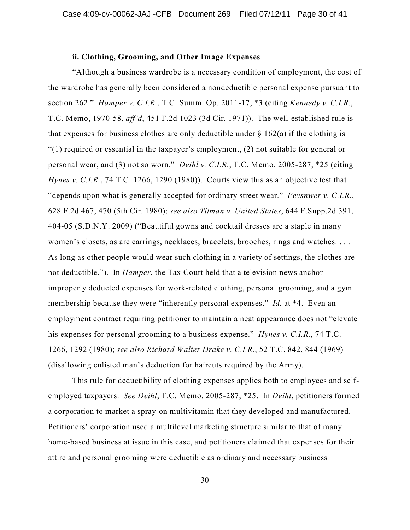# **ii. Clothing, Grooming, and Other Image Expenses**

"Although a business wardrobe is a necessary condition of employment, the cost of the wardrobe has generally been considered a nondeductible personal expense pursuant to section 262." *Hamper v. C.I.R.*, T.C. Summ. Op. 2011-17, \*3 (citing *Kennedy v. C.I.R.*, T.C. Memo, 1970-58, *aff'd*, 451 F.2d 1023 (3d Cir. 1971)). The well-established rule is that expenses for business clothes are only deductible under  $\S$  162(a) if the clothing is "(1) required or essential in the taxpayer's employment, (2) not suitable for general or personal wear, and (3) not so worn." *Deihl v. C.I.R.*, T.C. Memo. 2005-287, \*25 (citing *Hynes v. C.I.R.*, 74 T.C. 1266, 1290 (1980)). Courts view this as an objective test that "depends upon what is generally accepted for ordinary street wear." *Pevsnwer v. C.I.R.*, 628 F.2d 467, 470 (5th Cir. 1980); *see also Tilman v. United States*, 644 F.Supp.2d 391, 404-05 (S.D.N.Y. 2009) ("Beautiful gowns and cocktail dresses are a staple in many women's closets, as are earrings, necklaces, bracelets, brooches, rings and watches. . . . As long as other people would wear such clothing in a variety of settings, the clothes are not deductible."). In *Hamper*, the Tax Court held that a television news anchor improperly deducted expenses for work-related clothing, personal grooming, and a gym membership because they were "inherently personal expenses." *Id.* at \*4. Even an employment contract requiring petitioner to maintain a neat appearance does not "elevate his expenses for personal grooming to a business expense." *Hynes v. C.I.R.*, 74 T.C. 1266, 1292 (1980); *see also Richard Walter Drake v. C.I.R.*, 52 T.C. 842, 844 (1969) (disallowing enlisted man's deduction for haircuts required by the Army).

This rule for deductibility of clothing expenses applies both to employees and selfemployed taxpayers. *See Deihl*, T.C. Memo. 2005-287, \*25. In *Deihl*, petitioners formed a corporation to market a spray-on multivitamin that they developed and manufactured. Petitioners' corporation used a multilevel marketing structure similar to that of many home-based business at issue in this case, and petitioners claimed that expenses for their attire and personal grooming were deductible as ordinary and necessary business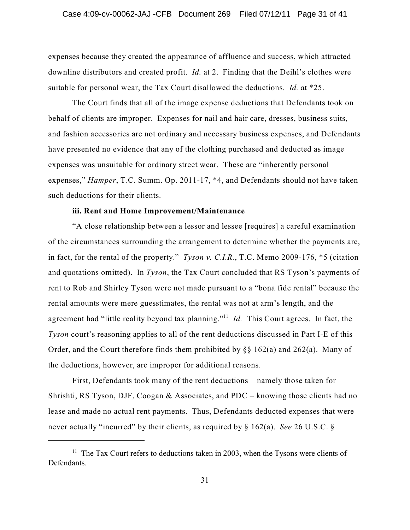expenses because they created the appearance of affluence and success, which attracted downline distributors and created profit. *Id.* at 2. Finding that the Deihl's clothes were suitable for personal wear, the Tax Court disallowed the deductions. *Id.* at \*25.

The Court finds that all of the image expense deductions that Defendants took on behalf of clients are improper. Expenses for nail and hair care, dresses, business suits, and fashion accessories are not ordinary and necessary business expenses, and Defendants have presented no evidence that any of the clothing purchased and deducted as image expenses was unsuitable for ordinary street wear. These are "inherently personal expenses," *Hamper*, T.C. Summ. Op. 2011-17, \*4, and Defendants should not have taken such deductions for their clients.

# **iii. Rent and Home Improvement/Maintenance**

"A close relationship between a lessor and lessee [requires] a careful examination of the circumstances surrounding the arrangement to determine whether the payments are, in fact, for the rental of the property." *Tyson v. C.I.R.*, T.C. Memo 2009-176, \*5 (citation and quotations omitted). In *Tyson*, the Tax Court concluded that RS Tyson's payments of rent to Rob and Shirley Tyson were not made pursuant to a "bona fide rental" because the rental amounts were mere guesstimates, the rental was not at arm's length, and the agreement had "little reality beyond tax planning."<sup>11</sup> *Id*. This Court agrees. In fact, the *Tyson* court's reasoning applies to all of the rent deductions discussed in Part I-E of this Order, and the Court therefore finds them prohibited by §§ 162(a) and 262(a). Many of the deductions, however, are improper for additional reasons.

First, Defendants took many of the rent deductions – namely those taken for Shrishti, RS Tyson, DJF, Coogan & Associates, and PDC – knowing those clients had no lease and made no actual rent payments. Thus, Defendants deducted expenses that were never actually "incurred" by their clients, as required by § 162(a). *See* 26 U.S.C. §

 $11$  The Tax Court refers to deductions taken in 2003, when the Tysons were clients of Defendants.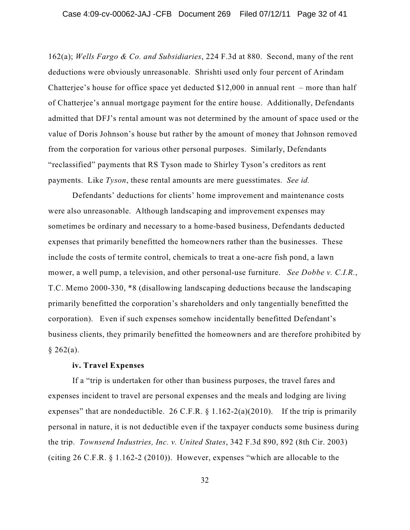162(a); *Wells Fargo & Co. and Subsidiaries*, 224 F.3d at 880. Second, many of the rent deductions were obviously unreasonable. Shrishti used only four percent of Arindam Chatterjee's house for office space yet deducted  $$12,000$  in annual rent – more than half of Chatterjee's annual mortgage payment for the entire house. Additionally, Defendants admitted that DFJ's rental amount was not determined by the amount of space used or the value of Doris Johnson's house but rather by the amount of money that Johnson removed from the corporation for various other personal purposes. Similarly, Defendants "reclassified" payments that RS Tyson made to Shirley Tyson's creditors as rent payments. Like *Tyson*, these rental amounts are mere guesstimates. *See id.*

Defendants' deductions for clients' home improvement and maintenance costs were also unreasonable. Although landscaping and improvement expenses may sometimes be ordinary and necessary to a home-based business, Defendants deducted expenses that primarily benefitted the homeowners rather than the businesses. These include the costs of termite control, chemicals to treat a one-acre fish pond, a lawn mower, a well pump, a television, and other personal-use furniture. *See Dobbe v. C.I.R.*, T.C. Memo 2000-330, \*8 (disallowing landscaping deductions because the landscaping primarily benefitted the corporation's shareholders and only tangentially benefitted the corporation). Even if such expenses somehow incidentally benefitted Defendant's business clients, they primarily benefitted the homeowners and are therefore prohibited by  $§ 262(a).$ 

### **iv. Travel Expenses**

If a "trip is undertaken for other than business purposes, the travel fares and expenses incident to travel are personal expenses and the meals and lodging are living expenses" that are nondeductible. 26 C.F.R.  $\S$  1.162-2(a)(2010). If the trip is primarily personal in nature, it is not deductible even if the taxpayer conducts some business during the trip. *Townsend Industries, Inc. v. United States*, 342 F.3d 890, 892 (8th Cir. 2003) (citing 26 C.F.R. § 1.162-2 (2010)). However, expenses "which are allocable to the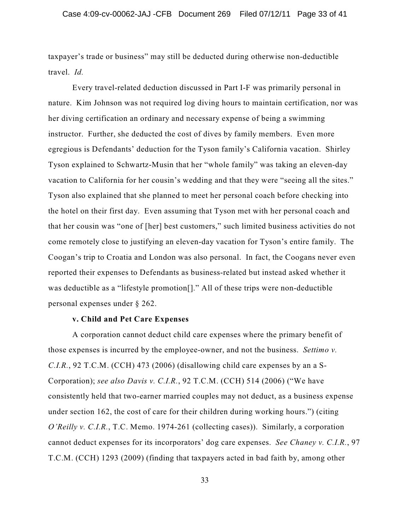taxpayer's trade or business" may still be deducted during otherwise non-deductible travel. *Id.*

Every travel-related deduction discussed in Part I-F was primarily personal in nature. Kim Johnson was not required log diving hours to maintain certification, nor was her diving certification an ordinary and necessary expense of being a swimming instructor. Further, she deducted the cost of dives by family members. Even more egregious is Defendants' deduction for the Tyson family's California vacation. Shirley Tyson explained to Schwartz-Musin that her "whole family" was taking an eleven-day vacation to California for her cousin's wedding and that they were "seeing all the sites." Tyson also explained that she planned to meet her personal coach before checking into the hotel on their first day. Even assuming that Tyson met with her personal coach and that her cousin was "one of [her] best customers," such limited business activities do not come remotely close to justifying an eleven-day vacation for Tyson's entire family. The Coogan's trip to Croatia and London was also personal. In fact, the Coogans never even reported their expenses to Defendants as business-related but instead asked whether it was deductible as a "lifestyle promotion[]." All of these trips were non-deductible personal expenses under § 262.

### **v. Child and Pet Care Expenses**

A corporation cannot deduct child care expenses where the primary benefit of those expenses is incurred by the employee-owner, and not the business. *Settimo v. C.I.R.*, 92 T.C.M. (CCH) 473 (2006) (disallowing child care expenses by an a S-Corporation); *see also Davis v. C.I.R.*, 92 T.C.M. (CCH) 514 (2006) ("We have consistently held that two-earner married couples may not deduct, as a business expense under section 162, the cost of care for their children during working hours.") (citing *O'Reilly v. C.I.R.*, T.C. Memo. 1974-261 (collecting cases)). Similarly, a corporation cannot deduct expenses for its incorporators' dog care expenses. *See Chaney v. C.I.R.*, 97 T.C.M. (CCH) 1293 (2009) (finding that taxpayers acted in bad faith by, among other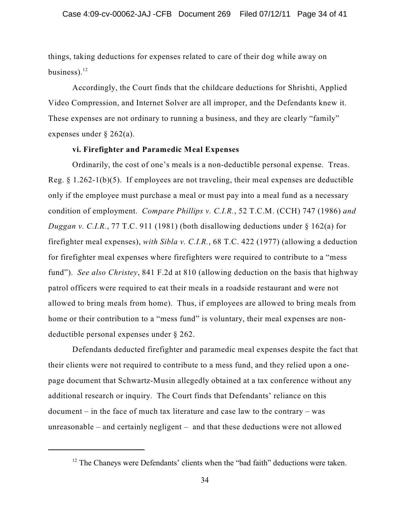things, taking deductions for expenses related to care of their dog while away on business).<sup>12</sup>

Accordingly, the Court finds that the childcare deductions for Shrishti, Applied Video Compression, and Internet Solver are all improper, and the Defendants knew it. These expenses are not ordinary to running a business, and they are clearly "family" expenses under § 262(a).

# **vi. Firefighter and Paramedic Meal Expenses**

Ordinarily, the cost of one's meals is a non-deductible personal expense. Treas. Reg. § 1.262-1(b)(5). If employees are not traveling, their meal expenses are deductible only if the employee must purchase a meal or must pay into a meal fund as a necessary condition of employment. *Compare Phillips v. C.I.R.*, 52 T.C.M. (CCH) 747 (1986) *and Duggan v. C.I.R.*, 77 T.C. 911 (1981) (both disallowing deductions under § 162(a) for firefighter meal expenses), *with Sibla v. C.I.R.*, 68 T.C. 422 (1977) (allowing a deduction for firefighter meal expenses where firefighters were required to contribute to a "mess fund"). *See also Christey*, 841 F.2d at 810 (allowing deduction on the basis that highway patrol officers were required to eat their meals in a roadside restaurant and were not allowed to bring meals from home). Thus, if employees are allowed to bring meals from home or their contribution to a "mess fund" is voluntary, their meal expenses are nondeductible personal expenses under § 262.

Defendants deducted firefighter and paramedic meal expenses despite the fact that their clients were not required to contribute to a mess fund, and they relied upon a onepage document that Schwartz-Musin allegedly obtained at a tax conference without any additional research or inquiry. The Court finds that Defendants' reliance on this document – in the face of much tax literature and case law to the contrary – was unreasonable – and certainly negligent – and that these deductions were not allowed

 $12$  The Chaneys were Defendants' clients when the "bad faith" deductions were taken.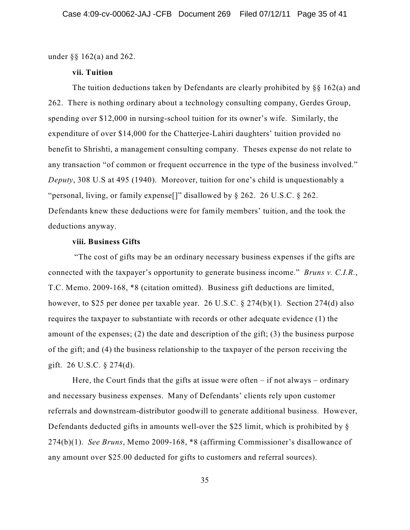under §§ 162(a) and 262.

### **vii. Tuition**

The tuition deductions taken by Defendants are clearly prohibited by  $\S$ § 162(a) and 262. There is nothing ordinary about a technology consulting company, Gerdes Group, spending over \$12,000 in nursing-school tuition for its owner's wife. Similarly, the expenditure of over \$14,000 for the Chatterjee-Lahiri daughters' tuition provided no benefit to Shrishti, a management consulting company. Theses expense do not relate to any transaction "of common or frequent occurrence in the type of the business involved." *Deputy*, 308 U.S at 495 (1940). Moreover, tuition for one's child is unquestionably a "personal, living, or family expense[]" disallowed by § 262. 26 U.S.C. § 262. Defendants knew these deductions were for family members' tuition, and the took the deductions anyway.

### **viii. Business Gifts**

"The cost of gifts may be an ordinary necessary business expenses if the gifts are connected with the taxpayer's opportunity to generate business income." *Bruns v. C.I.R.*, T.C. Memo. 2009-168, \*8 (citation omitted). Business gift deductions are limited, however, to \$25 per donee per taxable year. 26 U.S.C. § 274(b)(1). Section 274(d) also requires the taxpayer to substantiate with records or other adequate evidence (1) the amount of the expenses; (2) the date and description of the gift; (3) the business purpose of the gift; and (4) the business relationship to the taxpayer of the person receiving the gift. 26 U.S.C. § 274(d).

Here, the Court finds that the gifts at issue were often – if not always – ordinary and necessary business expenses. Many of Defendants' clients rely upon customer referrals and downstream-distributor goodwill to generate additional business. However, Defendants deducted gifts in amounts well-over the \$25 limit, which is prohibited by § 274(b)(1). *See Bruns*, Memo 2009-168, \*8 (affirming Commissioner's disallowance of any amount over \$25.00 deducted for gifts to customers and referral sources).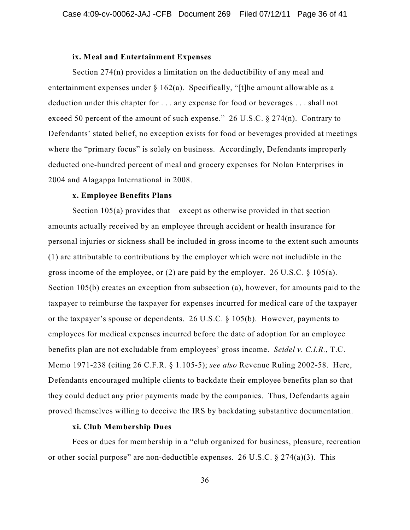### **ix. Meal and Entertainment Expenses**

Section 274(n) provides a limitation on the deductibility of any meal and entertainment expenses under  $\S 162(a)$ . Specifically, "[t]he amount allowable as a deduction under this chapter for . . . any expense for food or beverages . . . shall not exceed 50 percent of the amount of such expense." 26 U.S.C. § 274(n). Contrary to Defendants' stated belief, no exception exists for food or beverages provided at meetings where the "primary focus" is solely on business. Accordingly, Defendants improperly deducted one-hundred percent of meal and grocery expenses for Nolan Enterprises in 2004 and Alagappa International in 2008.

# **x. Employee Benefits Plans**

Section  $105(a)$  provides that – except as otherwise provided in that section – amounts actually received by an employee through accident or health insurance for personal injuries or sickness shall be included in gross income to the extent such amounts (1) are attributable to contributions by the employer which were not includible in the gross income of the employee, or (2) are paid by the employer. 26 U.S.C. § 105(a). Section 105(b) creates an exception from subsection (a), however, for amounts paid to the taxpayer to reimburse the taxpayer for expenses incurred for medical care of the taxpayer or the taxpayer's spouse or dependents. 26 U.S.C. § 105(b). However, payments to employees for medical expenses incurred before the date of adoption for an employee benefits plan are not excludable from employees' gross income. *Seidel v. C.I.R.*, T.C. Memo 1971-238 (citing 26 C.F.R. § 1.105-5); *see also* Revenue Ruling 2002-58. Here, Defendants encouraged multiple clients to backdate their employee benefits plan so that they could deduct any prior payments made by the companies. Thus, Defendants again proved themselves willing to deceive the IRS by backdating substantive documentation.

### **xi. Club Membership Dues**

Fees or dues for membership in a "club organized for business, pleasure, recreation or other social purpose" are non-deductible expenses. 26 U.S.C.  $\S 274(a)(3)$ . This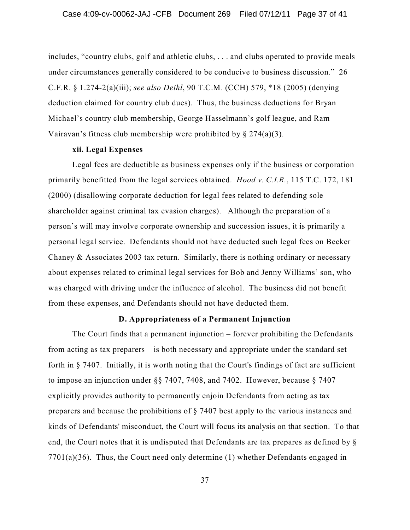includes, "country clubs, golf and athletic clubs, . . . and clubs operated to provide meals under circumstances generally considered to be conducive to business discussion." 26 C.F.R. § 1.274-2(a)(iii); *see also Deihl*, 90 T.C.M. (CCH) 579, \*18 (2005) (denying deduction claimed for country club dues). Thus, the business deductions for Bryan Michael's country club membership, George Hasselmann's golf league, and Ram Vairavan's fitness club membership were prohibited by  $\S 274(a)(3)$ .

### **xii. Legal Expenses**

Legal fees are deductible as business expenses only if the business or corporation primarily benefitted from the legal services obtained. *Hood v. C.I.R.*, 115 T.C. 172, 181 (2000) (disallowing corporate deduction for legal fees related to defending sole shareholder against criminal tax evasion charges). Although the preparation of a person's will may involve corporate ownership and succession issues, it is primarily a personal legal service. Defendants should not have deducted such legal fees on Becker Chaney & Associates 2003 tax return. Similarly, there is nothing ordinary or necessary about expenses related to criminal legal services for Bob and Jenny Williams' son, who was charged with driving under the influence of alcohol. The business did not benefit from these expenses, and Defendants should not have deducted them.

#### **D. Appropriateness of a Permanent Injunction**

The Court finds that a permanent injunction – forever prohibiting the Defendants from acting as tax preparers – is both necessary and appropriate under the standard set forth in § 7407. Initially, it is worth noting that the Court's findings of fact are sufficient to impose an injunction under §§ 7407, 7408, and 7402. However, because § 7407 explicitly provides authority to permanently enjoin Defendants from acting as tax preparers and because the prohibitions of § 7407 best apply to the various instances and kinds of Defendants' misconduct, the Court will focus its analysis on that section. To that end, the Court notes that it is undisputed that Defendants are tax prepares as defined by § 7701(a)(36). Thus, the Court need only determine (1) whether Defendants engaged in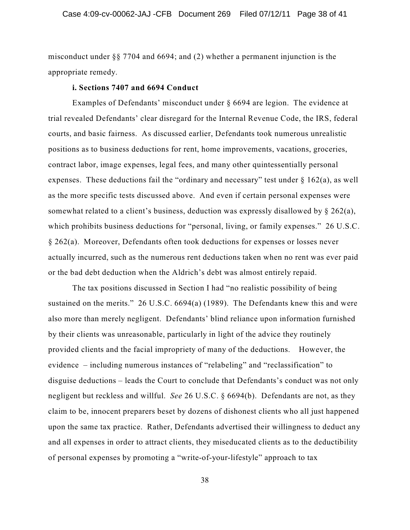misconduct under §§ 7704 and 6694; and (2) whether a permanent injunction is the appropriate remedy.

#### **i. Sections 7407 and 6694 Conduct**

Examples of Defendants' misconduct under § 6694 are legion. The evidence at trial revealed Defendants' clear disregard for the Internal Revenue Code, the IRS, federal courts, and basic fairness. As discussed earlier, Defendants took numerous unrealistic positions as to business deductions for rent, home improvements, vacations, groceries, contract labor, image expenses, legal fees, and many other quintessentially personal expenses. These deductions fail the "ordinary and necessary" test under § 162(a), as well as the more specific tests discussed above. And even if certain personal expenses were somewhat related to a client's business, deduction was expressly disallowed by § 262(a), which prohibits business deductions for "personal, living, or family expenses." 26 U.S.C. § 262(a). Moreover, Defendants often took deductions for expenses or losses never actually incurred, such as the numerous rent deductions taken when no rent was ever paid or the bad debt deduction when the Aldrich's debt was almost entirely repaid.

The tax positions discussed in Section I had "no realistic possibility of being sustained on the merits." 26 U.S.C. 6694(a) (1989). The Defendants knew this and were also more than merely negligent. Defendants' blind reliance upon information furnished by their clients was unreasonable, particularly in light of the advice they routinely provided clients and the facial impropriety of many of the deductions. However, the evidence – including numerous instances of "relabeling" and "reclassification" to disguise deductions – leads the Court to conclude that Defendants's conduct was not only negligent but reckless and willful. *See* 26 U.S.C. § 6694(b). Defendants are not, as they claim to be, innocent preparers beset by dozens of dishonest clients who all just happened upon the same tax practice. Rather, Defendants advertised their willingness to deduct any and all expenses in order to attract clients, they miseducated clients as to the deductibility of personal expenses by promoting a "write-of-your-lifestyle" approach to tax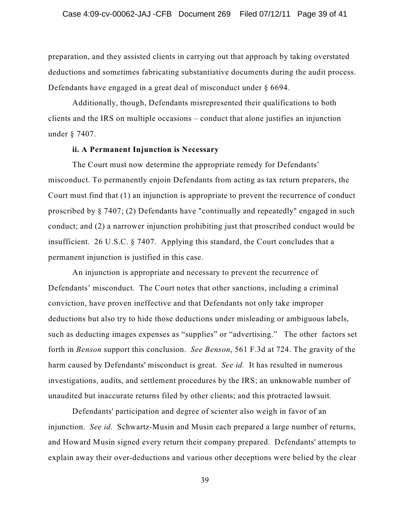preparation, and they assisted clients in carrying out that approach by taking overstated deductions and sometimes fabricating substantiative documents during the audit process. Defendants have engaged in a great deal of misconduct under § 6694.

Additionally, though, Defendants misrepresented their qualifications to both clients and the IRS on multiple occasions – conduct that alone justifies an injunction under § 7407.

# **ii. A Permanent Injunction is Necessary**

The Court must now determine the appropriate remedy for Defendants' misconduct. To permanently enjoin Defendants from acting as tax return preparers, the Court must find that (1) an injunction is appropriate to prevent the recurrence of conduct proscribed by § 7407; (2) Defendants have "continually and repeatedly" engaged in such conduct; and (2) a narrower injunction prohibiting just that proscribed conduct would be insufficient. 26 U.S.C. § 7407. Applying this standard, the Court concludes that a permanent injunction is justified in this case.

An injunction is appropriate and necessary to prevent the recurrence of Defendants' misconduct. The Court notes that other sanctions, including a criminal conviction, have proven ineffective and that Defendants not only take improper deductions but also try to hide those deductions under misleading or ambiguous labels, such as deducting images expenses as "supplies" or "advertising." The other factors set forth in *Benson* support this conclusion. *See Benson*, 561 F.3d at 724. The gravity of the harm caused by Defendants' misconduct is great. *See id.* It has resulted in numerous investigations, audits, and settlement procedures by the IRS; an unknowable number of unaudited but inaccurate returns filed by other clients; and this protracted lawsuit.

Defendants' participation and degree of scienter also weigh in favor of an injunction. *See id.* Schwartz-Musin and Musin each prepared a large number of returns, and Howard Musin signed every return their company prepared. Defendants' attempts to explain away their over-deductions and various other deceptions were belied by the clear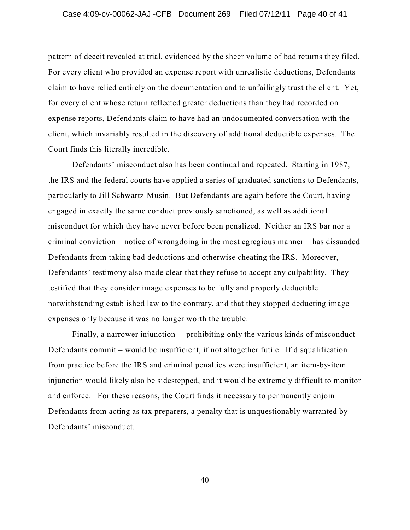pattern of deceit revealed at trial, evidenced by the sheer volume of bad returns they filed. For every client who provided an expense report with unrealistic deductions, Defendants claim to have relied entirely on the documentation and to unfailingly trust the client. Yet, for every client whose return reflected greater deductions than they had recorded on expense reports, Defendants claim to have had an undocumented conversation with the client, which invariably resulted in the discovery of additional deductible expenses. The Court finds this literally incredible.

Defendants' misconduct also has been continual and repeated. Starting in 1987, the IRS and the federal courts have applied a series of graduated sanctions to Defendants, particularly to Jill Schwartz-Musin. But Defendants are again before the Court, having engaged in exactly the same conduct previously sanctioned, as well as additional misconduct for which they have never before been penalized. Neither an IRS bar nor a criminal conviction – notice of wrongdoing in the most egregious manner – has dissuaded Defendants from taking bad deductions and otherwise cheating the IRS. Moreover, Defendants' testimony also made clear that they refuse to accept any culpability. They testified that they consider image expenses to be fully and properly deductible notwithstanding established law to the contrary, and that they stopped deducting image expenses only because it was no longer worth the trouble.

Finally, a narrower injunction – prohibiting only the various kinds of misconduct Defendants commit – would be insufficient, if not altogether futile. If disqualification from practice before the IRS and criminal penalties were insufficient, an item-by-item injunction would likely also be sidestepped, and it would be extremely difficult to monitor and enforce. For these reasons, the Court finds it necessary to permanently enjoin Defendants from acting as tax preparers, a penalty that is unquestionably warranted by Defendants' misconduct.